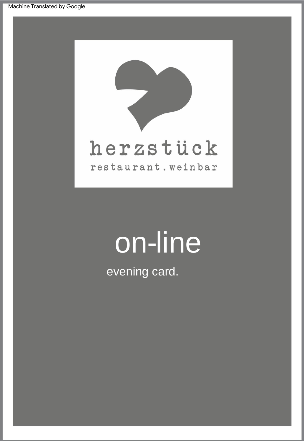

# on-line

evening card.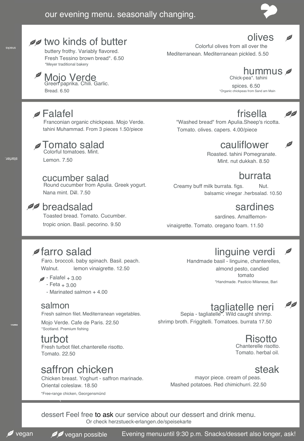

#### *A* two kinds of butter

\*Meyer traditional bakery Fresh Tessino brown bread\*. 6.50 buttery frothy. Variably flavored.

#### Mojo Verde

Bread. 6.50 Green paprika. Chili. Garlic.

#### Falafel

snacks

starter.

Franconian organic chickpeas. Mojo Verde. tahini Muhammad. From 3 pieces 1.50/piece

#### Colorful tomatoes. Mint. I omato salad

Lemon. 7.50

#### cucumber salad

Round cucumber from Apulia. Greek yogurt. Nana mint. Dill. 7.50 -



tropic onion. Basil. pecorino. 9.50 Toasted bread. Tomato. Cucumber.

#### olives

Colorful olives from all over the Mediterranean. Mediterranean pickled. 5.50

#### Chick-pea\*. tahini hummus

\*Organic chickpeas from Sand am Main spices. 6.50

#### frisella

"Washed bread" from Apulia.Sheep's ricotta. Tomato. olives. capers. 4.00/piece

#### cauliflower

Roasted. tahini Pomegranate. Mint. nut dukkah. 8.50

#### burrata

Creamy buff milk burrata. figs. Nut. balsamic vinegar .herbsalad. 10.50

sardines. Amalflemonvinaigrette. Tomato. oregano foam. 11.50

#### *farro salad*

Walnut. lemon vinaigrette. 12.50 Faro. broccoli. baby spinach. Basil. peach.

- $\blacktriangleright$  Falafel  $+3.00$ 
	- Feta + 3.00
	- Marinated salmon + 4.00

#### salmon

Fresh salmon filet. Mediterranean vegetables.

\*Scotland. Premium fishing Mojo Verde. Cafe de Paris. 22.50

#### turbot

(

Fresh turbot filet. chanterelle risotto. Tomato. 22.50

#### five v saffron chicken

\*Free-range chicken, Georgensmünd Oriental coleslaw. 18.50 Chicken breast. Yoghurt - saffron marinade.

#### linguine verdi

\*Handmade. Pasticio Milanese, Bari Handmade basil - linguine, chanterelles, almond pesto, candied tomato

# tagliatelle neri<br>Sepia - tagliatelle . Wild caught shrimp.

shrimp broth. Friggitelli. Tomatoes. burrata 17.50

#### Risotto

00

Tomato. herbal oil. Chanterelle risotto.

#### steak

mayor piece. cream of peas. Mashed potatoes. Red chimichurri. 22.50

Or check herzstueck-erlangen.de/speisekarte dessert Feel free to ask our service about our dessert and drink menu.

course. main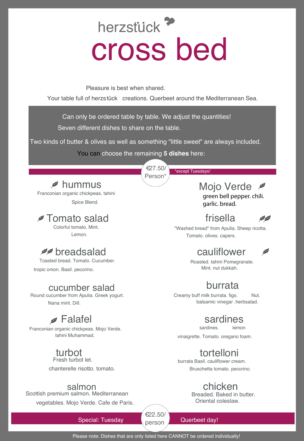# herzstück<sup>7</sup> cross bed

Pleasure is best when shared.

Your table full of herzstück creations. Querbeet around the Mediterranean Sea.

Can only be ordered table by table. We adjust the quantities! Seven different dishes to share on the table.

Two kinds of butter & olives as well as something "little sweet" are always included.

You can choose the remaining **5 dishes** here:

€27.50/ Person\*

\*except Tuesdays!

Mojo Verde green bell pepper. chili. garlic. bread.

## frisella

"Washed bread" from Apulia. Sheep ricotta. Tomato. olives. capers.

#### cauliflower

Ø

00

Roasted. tahini Pomegranate.

#### burrata

balsamic vinegar .herbsalad. Creamy buff milk burrata. figs. Nut.

#### sardines

sardines. lemon

vinaigrette. Tomato. oregano foam.

#### tortelloni

Bruschetta tomato. pecorino. burrata Basil. cauliflower cream.

## **Chicken**<br>Breaded, Baked in butter.

Oriental coleslaw.

Special: Tuesday **Querbeet day!** Querbeet day!

Please note: Dishes that are only listed here CANNOT be ordered individually!

person €22.50/

*D* hummus

Spice Blend. Franconian organic chickpeas. tahini

**Z** Tomato salad

Lemon. Colorful tomato. Mint.

### **PP** breadsalad

Toasted bread. Tomato. Cucumber. Mint. nut dukkah. tropic onion. Basil. pecorino.

#### cucumber salad

Round cucumber from Apulia. Greek yogurt. Nana mint. Dill.

### Falafel

Franconian organic chickpeas. Mojo Verde. tahini Muhammad.

# turbot Fresh turbot let.

chanterelle risotto. tomato. .

#### salmon

Scottish premium salmon. Mediterranean vegetables. Mojo Verde. Cafe de Paris.